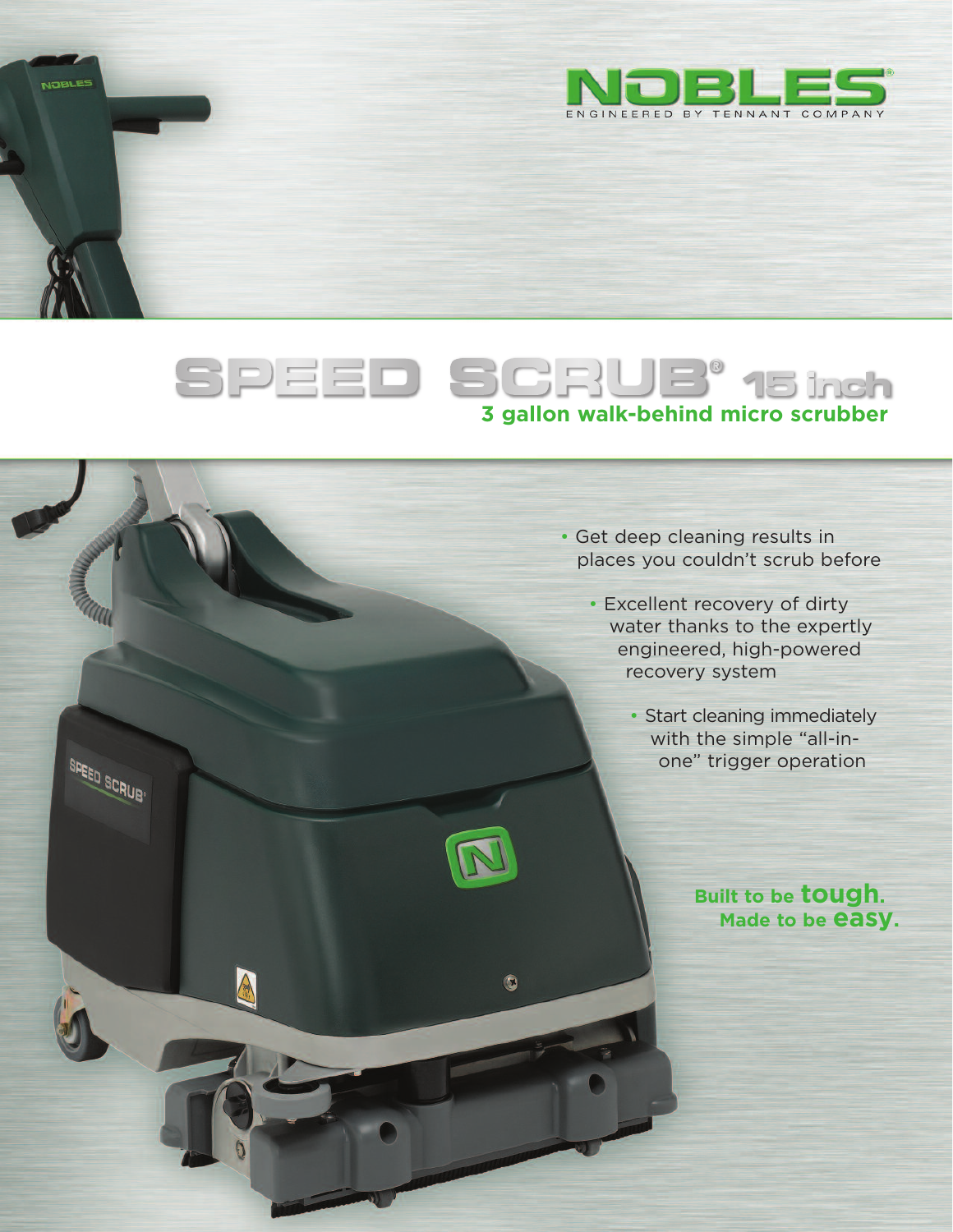

# **3 gallon walk-behind micro scrubber**

 $\bullet$ 

**STRLE** 

SPEED SCRUB<sup>.</sup>

- Get deep cleaning results in places you couldn't scrub before
	- Excellent recovery of dirty water thanks to the expertly engineered, high-powered recovery system
		- Start cleaning immediately with the simple "all-inone" trigger operation

**Built to be tough. Made to be easy.**